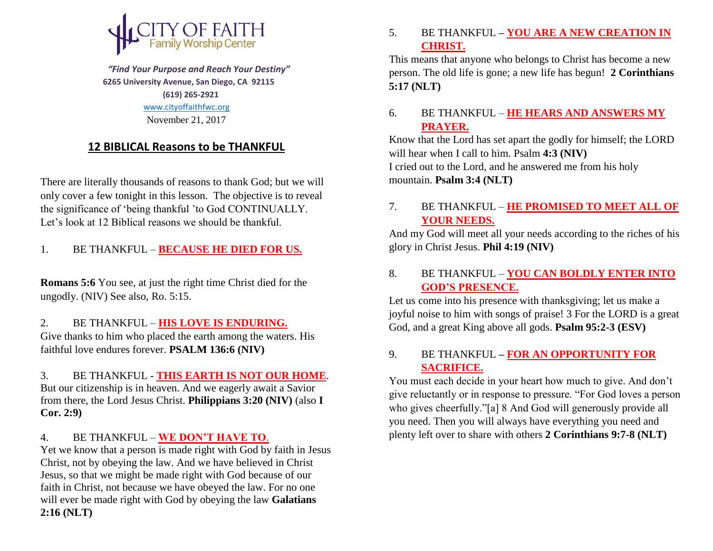

 *"Find Your Purpose and Reach Your Destiny"*  **6265 University Avenue, San Diego, CA 92115 (619) 265-2921** [www.cityoffaithfwc.org](http://www.cityoffaithfwc.org/)

November 21, 2017

# **12 BIBLICAL Reasons to be THANKFUL**

There are literally thousands of reasons to thank God; but we will only cover a few tonight in this lesson. The objective is to reveal the significance of 'being thankful 'to God CONTINUALLY. Let's look at 12 Biblical reasons we should be thankful.

# 1. BE THANKFUL – **BECAUSE HE DIED FOR US.**

**Romans 5:6** You see, at just the right time Christ died for the ungodly. (NIV) See also, Ro. 5:15.

#### 2. BE THANKFUL – **HIS LOVE IS ENDURING.**

Give thanks to him who placed the earth among the waters. His faithful love endures forever. **PSALM 136:6 (NIV)**

3. BE THANKFUL - **THIS EARTH IS NOT OUR HOME**. But our citizenship is in heaven. And we eagerly await a Savior from there, the Lord Jesus Christ. **Philippians 3:20 (NIV)** (also **I Cor. 2:9)**

#### 4. BE THANKFUL – **WE DON'T HAVE TO**.

Yet we know that a person is made right with God by faith in Jesus Christ, not by obeying the law. And we have believed in Christ Jesus, so that we might be made right with God because of our faith in Christ, not because we have obeyed the law. For no one will ever be made right with God by obeying the law **Galatians 2:16 (NLT)**

5. BE THANKFUL **– YOU ARE A NEW CREATION IN CHRIST.**

This means that anyone who belongs to Christ has become a new person. The old life is gone; a new life has begun! **2 Corinthians 5:17 (NLT)**

## 6. BE THANKFUL – **HE HEARS AND ANSWERS MY PRAYER.**

Know that the Lord has set apart the godly for himself; the LORD will hear when I call to him. Psalm **4:3 (NIV)** I cried out to the Lord, and he answered me from his holy mountain. **Psalm 3:4 (NLT)**

## 7. BE THANKFUL – **HE PROMISED TO MEET ALL OF YOUR NEEDS.**

And my God will meet all your needs according to the riches of his glory in Christ Jesus. **Phil 4:19 (NIV)**

### 8. BE THANKFUL – **YOU CAN BOLDLY ENTER INTO GOD'S PRESENCE.**

Let us come into his presence with thanksgiving; let us make a joyful noise to him with songs of praise! 3 For the LORD is a great God, and a great King above all gods. **Psalm 95:2-3 (ESV)** 

### 9. BE THANKFUL **– FOR AN OPPORTUNITY FOR SACRIFICE.**

You must each decide in your heart how much to give. And don't give reluctantly or in response to pressure. "For God loves a person who gives cheerfully."[a] 8 And God will generously provide all you need. Then you will always have everything you need and plenty left over to share with others **2 Corinthians 9:7-8 (NLT)**